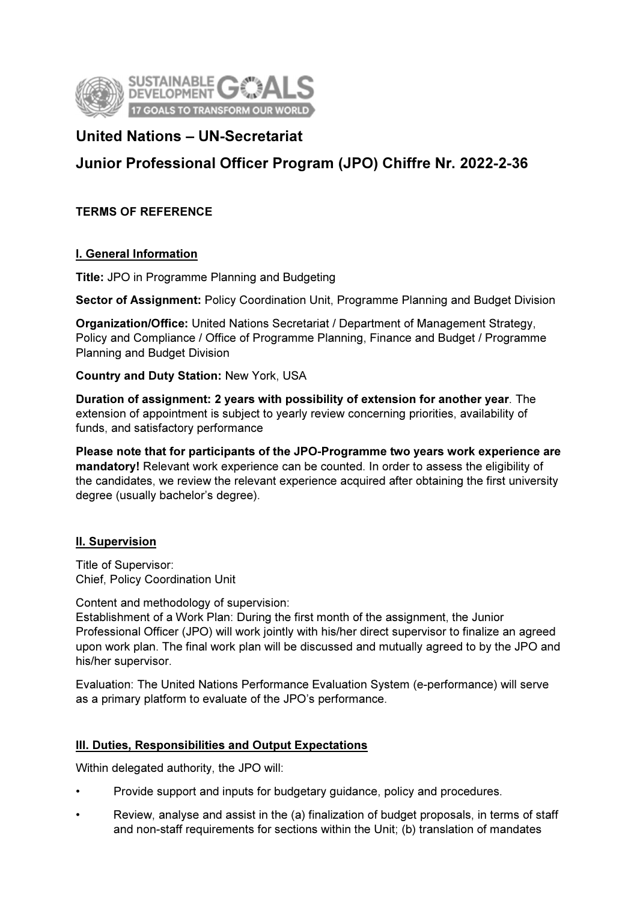

# United Nations – UN-Secretariat

# Junior Professional Officer Program (JPO) Chiffre Nr. 2022-2-36

# TERMS OF REFERENCE

### I. General Information

Title: JPO in Programme Planning and Budgeting

Sector of Assignment: Policy Coordination Unit, Programme Planning and Budget Division

Organization/Office: United Nations Secretariat / Department of Management Strategy, Policy and Compliance / Office of Programme Planning, Finance and Budget / Programme Planning and Budget Division

Country and Duty Station: New York, USA

Duration of assignment: 2 years with possibility of extension for another year. The extension of appointment is subject to yearly review concerning priorities, availability of funds, and satisfactory performance

Please note that for participants of the JPO-Programme two years work experience are mandatory! Relevant work experience can be counted. In order to assess the eligibility of the candidates, we review the relevant experience acquired after obtaining the first university degree (usually bachelor's degree).

# II. Supervision

Title of Supervisor: Chief, Policy Coordination Unit

Content and methodology of supervision:

Establishment of a Work Plan: During the first month of the assignment, the Junior Professional Officer (JPO) will work jointly with his/her direct supervisor to finalize an agreed upon work plan. The final work plan will be discussed and mutually agreed to by the JPO and his/her supervisor.

Evaluation: The United Nations Performance Evaluation System (e-performance) will serve as a primary platform to evaluate of the JPO's performance.

# III. Duties, Responsibilities and Output Expectations

Within delegated authority, the JPO will:

- Provide support and inputs for budgetary guidance, policy and procedures.
- Review, analyse and assist in the (a) finalization of budget proposals, in terms of staff and non-staff requirements for sections within the Unit; (b) translation of mandates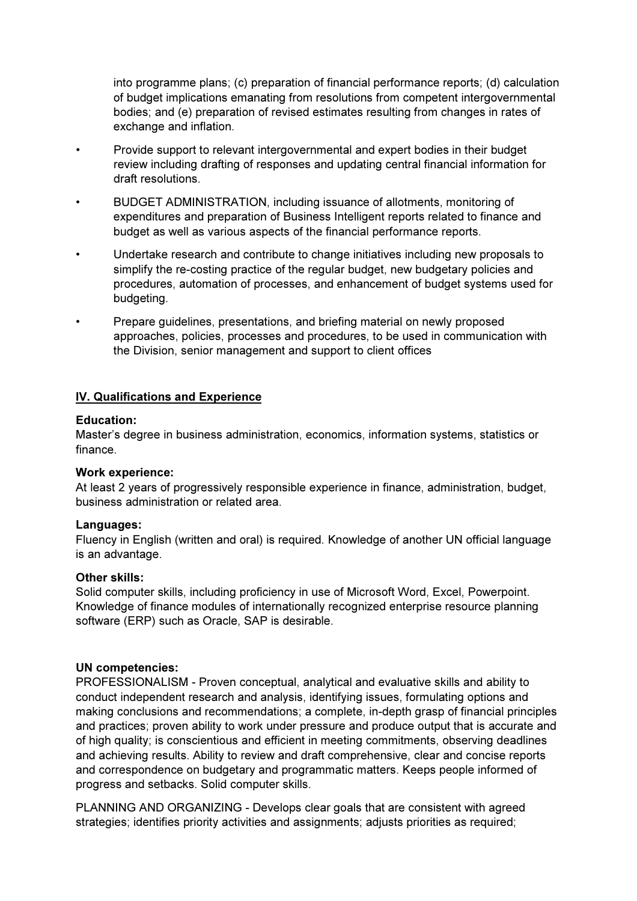into programme plans; (c) preparation of financial performance reports; (d) calculation of budget implications emanating from resolutions from competent intergovernmental bodies; and (e) preparation of revised estimates resulting from changes in rates of exchange and inflation.

- Provide support to relevant intergovernmental and expert bodies in their budget review including drafting of responses and updating central financial information for draft resolutions.
- BUDGET ADMINISTRATION, including issuance of allotments, monitoring of expenditures and preparation of Business Intelligent reports related to finance and budget as well as various aspects of the financial performance reports.
- Undertake research and contribute to change initiatives including new proposals to simplify the re-costing practice of the regular budget, new budgetary policies and procedures, automation of processes, and enhancement of budget systems used for budgeting.
- Prepare guidelines, presentations, and briefing material on newly proposed approaches, policies, processes and procedures, to be used in communication with the Division, senior management and support to client offices

### IV. Qualifications and Experience

### Education:

Master's degree in business administration, economics, information systems, statistics or finance.

#### Work experience:

At least 2 years of progressively responsible experience in finance, administration, budget, business administration or related area.

#### Languages:

Fluency in English (written and oral) is required. Knowledge of another UN official language is an advantage.

### Other skills:

Solid computer skills, including proficiency in use of Microsoft Word, Excel, Powerpoint. Knowledge of finance modules of internationally recognized enterprise resource planning software (ERP) such as Oracle, SAP is desirable.

#### UN competencies:

PROFESSIONALISM - Proven conceptual, analytical and evaluative skills and ability to conduct independent research and analysis, identifying issues, formulating options and making conclusions and recommendations; a complete, in-depth grasp of financial principles and practices; proven ability to work under pressure and produce output that is accurate and of high quality; is conscientious and efficient in meeting commitments, observing deadlines and achieving results. Ability to review and draft comprehensive, clear and concise reports and correspondence on budgetary and programmatic matters. Keeps people informed of progress and setbacks. Solid computer skills.

PLANNING AND ORGANIZING - Develops clear goals that are consistent with agreed strategies; identifies priority activities and assignments; adjusts priorities as required;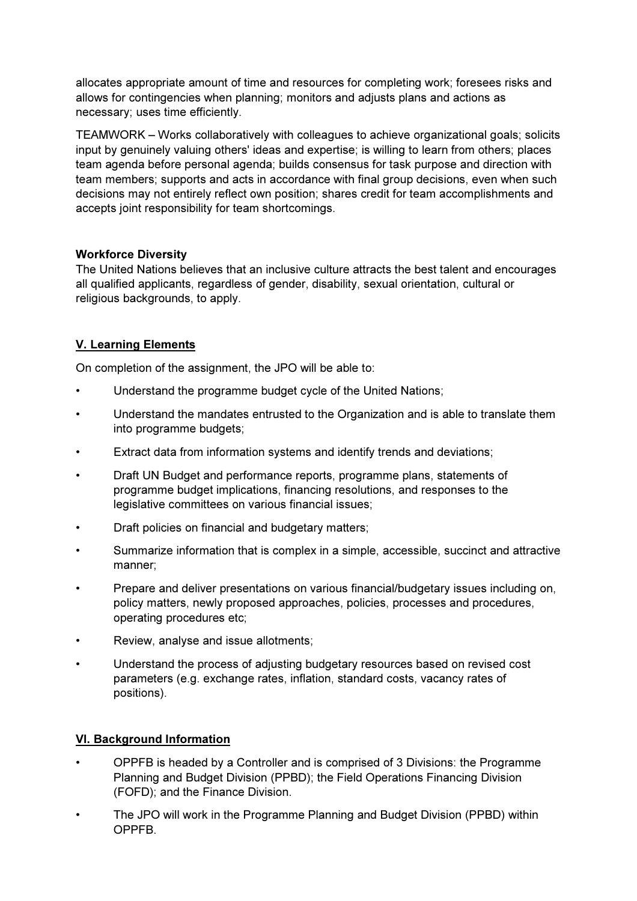allocates appropriate amount of time and resources for completing work; foresees risks and allows for contingencies when planning; monitors and adjusts plans and actions as necessary; uses time efficiently.

TEAMWORK – Works collaboratively with colleagues to achieve organizational goals; solicits input by genuinely valuing others' ideas and expertise; is willing to learn from others; places team agenda before personal agenda; builds consensus for task purpose and direction with team members; supports and acts in accordance with final group decisions, even when such decisions may not entirely reflect own position; shares credit for team accomplishments and accepts joint responsibility for team shortcomings.

# Workforce Diversity

The United Nations believes that an inclusive culture attracts the best talent and encourages all qualified applicants, regardless of gender, disability, sexual orientation, cultural or religious backgrounds, to apply.

# V. Learning Elements

On completion of the assignment, the JPO will be able to:

- Understand the programme budget cycle of the United Nations;
- Understand the mandates entrusted to the Organization and is able to translate them into programme budgets;
- Extract data from information systems and identify trends and deviations;
- Draft UN Budget and performance reports, programme plans, statements of programme budget implications, financing resolutions, and responses to the legislative committees on various financial issues;
- Draft policies on financial and budgetary matters;
- Summarize information that is complex in a simple, accessible, succinct and attractive manner;
- Prepare and deliver presentations on various financial/budgetary issues including on, policy matters, newly proposed approaches, policies, processes and procedures, operating procedures etc;
- Review, analyse and issue allotments;
- Understand the process of adjusting budgetary resources based on revised cost parameters (e.g. exchange rates, inflation, standard costs, vacancy rates of positions).

# VI. Background Information

- OPPFB is headed by a Controller and is comprised of 3 Divisions: the Programme Planning and Budget Division (PPBD); the Field Operations Financing Division (FOFD); and the Finance Division.
- The JPO will work in the Programme Planning and Budget Division (PPBD) within OPPFB.